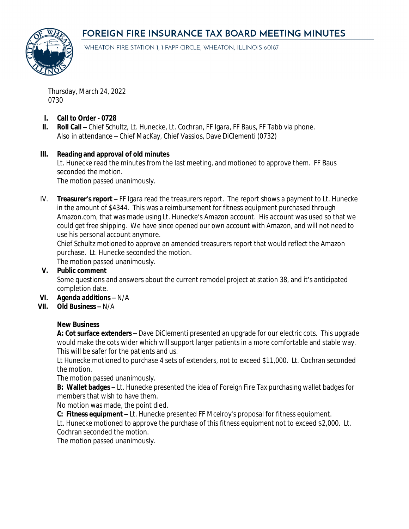# **FOREIGN FIRE INSURANCE TAX BOARD MEETING MINUTES**



WHEATON FIRE STATION 1, 1 FAPP CIRCLE, WHEATON, ILLINOIS 60187

Thursday, March 24, 2022 0730

- **I. Call to Order 0728**
- **II. Roll Call** Chief Schultz, Lt. Hunecke, Lt. Cochran, FF Igara, FF Baus, FF Tabb via phone. Also in attendance – Chief MacKay, Chief Vassios, Dave DiClementi (0732)

#### **III. Reading and approval of old minutes**

Lt. Hunecke read the minutes from the last meeting, and motioned to approve them. FF Baus seconded the motion.

The motion passed unanimously.

IV. **Treasurer's report –** FF Igara read the treasurers report. The report shows a payment to Lt. Hunecke in the amount of \$4344. This was a reimbursement for fitness equipment purchased through Amazon.com, that was made using Lt. Hunecke's Amazon account. His account was used so that we could get free shipping. We have since opened our own account with Amazon, and will not need to use his personal account anymore.

Chief Schultz motioned to approve an amended treasurers report that would reflect the Amazon purchase. Lt. Hunecke seconded the motion.

The motion passed unanimously.

#### **V. Public comment**

Some questions and answers about the current remodel project at station 38, and it's anticipated completion date.

#### **VI. Agenda additions –** N/A

### **VII. Old Business –** N/A

#### **New Business**

**A: Cot surface extenders –** Dave DiClementi presented an upgrade for our electric cots. This upgrade would make the cots wider which will support larger patients in a more comfortable and stable way. This will be safer for the patients and us.

Lt Hunecke motioned to purchase 4 sets of extenders, not to exceed \$11,000. Lt. Cochran seconded the motion.

The motion passed unanimously.

**B: Wallet badges –** Lt. Hunecke presented the idea of Foreign Fire Tax purchasing wallet badges for members that wish to have them.

No motion was made, the point died.

**C: Fitness equipment –** Lt. Hunecke presented FF Mcelroy's proposal for fitness equipment.

Lt. Hunecke motioned to approve the purchase of this fitness equipment not to exceed \$2,000. Lt. Cochran seconded the motion.

The motion passed unanimously.